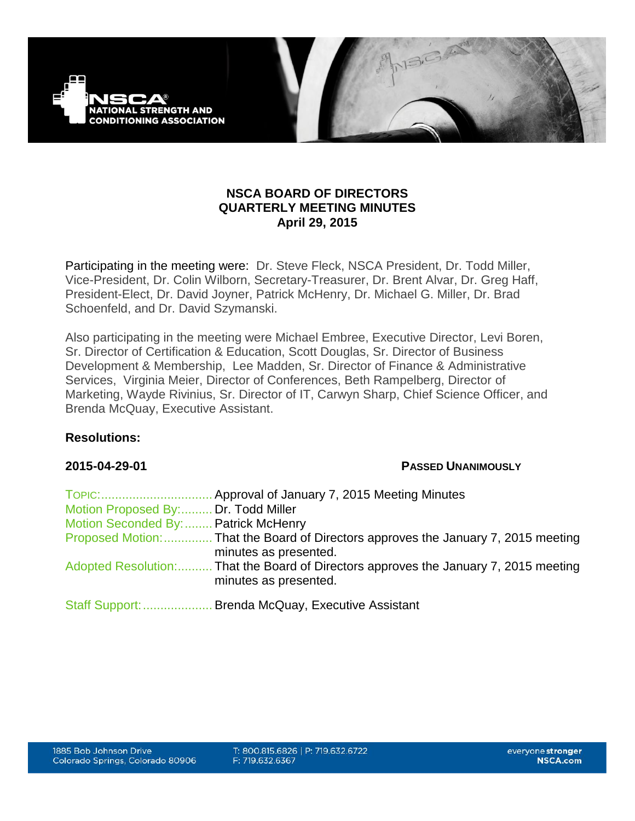

## **NSCA BOARD OF DIRECTORS QUARTERLY MEETING MINUTES April 29, 2015**

Participating in the meeting were: Dr. Steve Fleck, NSCA President, Dr. Todd Miller, Vice-President, Dr. Colin Wilborn, Secretary-Treasurer, Dr. Brent Alvar, Dr. Greg Haff, President-Elect, Dr. David Joyner, Patrick McHenry, Dr. Michael G. Miller, Dr. Brad Schoenfeld, and Dr. David Szymanski.

Also participating in the meeting were Michael Embree, Executive Director, Levi Boren, Sr. Director of Certification & Education, Scott Douglas, Sr. Director of Business Development & Membership, Lee Madden, Sr. Director of Finance & Administrative Services, Virginia Meier, Director of Conferences, Beth Rampelberg, Director of Marketing, Wayde Rivinius, Sr. Director of IT, Carwyn Sharp, Chief Science Officer, and Brenda McQuay, Executive Assistant.

## **Resolutions:**

## **2015-04-29-01 PASSED UNANIMOUSLY**

| TOPIC:                               | Approval of January 7, 2015 Meeting Minutes                                                                   |
|--------------------------------------|---------------------------------------------------------------------------------------------------------------|
| Motion Proposed By: Dr. Todd Miller  |                                                                                                               |
| Motion Seconded By:  Patrick McHenry |                                                                                                               |
|                                      | Proposed Motion: That the Board of Directors approves the January 7, 2015 meeting<br>minutes as presented.    |
|                                      | Adopted Resolution: That the Board of Directors approves the January 7, 2015 meeting<br>minutes as presented. |
| Staff Support:                       | Brenda McQuay, Executive Assistant                                                                            |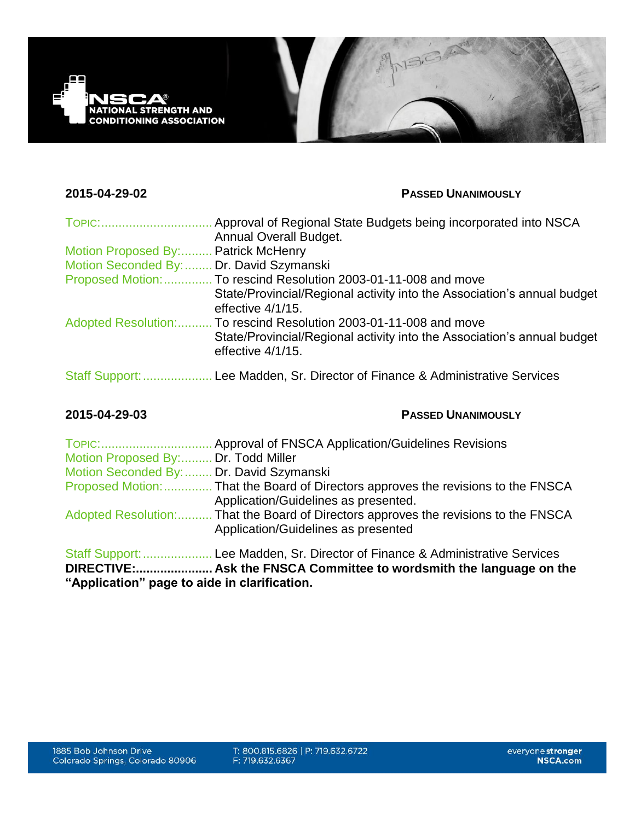

## **2015-04-29-02 PASSED UNANIMOUSLY**

| <b>TOPIC:</b>              | Approval of Regional State Budgets being incorporated into NSCA                              |
|----------------------------|----------------------------------------------------------------------------------------------|
|                            | <b>Annual Overall Budget.</b>                                                                |
| Motion Proposed By:        | <b>Patrick McHenry</b>                                                                       |
| Motion Seconded By:        | Dr. David Szymanski                                                                          |
| Proposed Motion:           | To rescind Resolution 2003-01-11-008 and move                                                |
|                            | State/Provincial/Regional activity into the Association's annual budget<br>effective 4/1/15. |
| <b>Adopted Resolution:</b> | To rescind Resolution 2003-01-11-008 and move                                                |
|                            | State/Provincial/Regional activity into the Association's annual budget<br>effective 4/1/15. |
| <b>Staff Support:</b>      | Lee Madden, Sr. Director of Finance & Administrative Services                                |

## **2015-04-29-03 PASSED UNANIMOUSLY**

| TOPIC:                                   | Approval of FNSCA Application/Guidelines Revisions                                  |
|------------------------------------------|-------------------------------------------------------------------------------------|
| Motion Proposed By: Dr. Todd Miller      |                                                                                     |
| Motion Seconded By:  Dr. David Szymanski |                                                                                     |
|                                          | Proposed Motion:  That the Board of Directors approves the revisions to the FNSCA   |
|                                          | Application/Guidelines as presented.                                                |
|                                          | Adopted Resolution: That the Board of Directors approves the revisions to the FNSCA |
|                                          | Application/Guidelines as presented                                                 |
|                                          | Staff Support:  Lee Madden, Sr. Director of Finance & Administrative Services       |

**DIRECTIVE:...................... Ask the FNSCA Committee to wordsmith the language on the "Application" page to aide in clarification.**